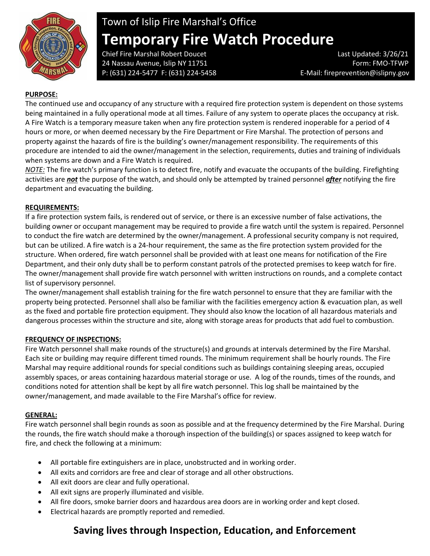

# Town of Islip Fire Marshal's Office **Temporary Fire Watch Procedure**

Chief Fire Marshal Robert Doucet Last Updated: 3/26/21 24 Nassau Avenue, Islip NY 11751 Form: FMO-TFWP P: (631) 224-5477 F: (631) 224-5458 E-Mail: fireprevention@islipny.gov

## **PURPOSE:**

The continued use and occupancy of any structure with a required fire protection system is dependent on those systems being maintained in a fully operational mode at all times. Failure of any system to operate places the occupancy at risk. A Fire Watch is a temporary measure taken when any fire protection system is rendered inoperable for a period of 4 hours or more, or when deemed necessary by the Fire Department or Fire Marshal. The protection of persons and property against the hazards of fire is the building's owner/management responsibility. The requirements of this procedure are intended to aid the owner/management in the selection, requirements, duties and training of individuals when systems are down and a Fire Watch is required.

*NOTE:* The fire watch's primary function is to detect fire, notify and evacuate the occupants of the building. Firefighting activities are *not* the purpose of the watch, and should only be attempted by trained personnel *after* notifying the fire department and evacuating the building.

### **REQUIREMENTS:**

If a fire protection system fails, is rendered out of service, or there is an excessive number of false activations, the building owner or occupant management may be required to provide a fire watch until the system is repaired. Personnel to conduct the fire watch are determined by the owner/management. A professional security company is not required, but can be utilized. A fire watch is a 24-hour requirement, the same as the fire protection system provided for the structure. When ordered, fire watch personnel shall be provided with at least one means for notification of the Fire Department, and their only duty shall be to perform constant patrols of the protected premises to keep watch for fire. The owner/management shall provide fire watch personnel with written instructions on rounds, and a complete contact list of supervisory personnel.

The owner/management shall establish training for the fire watch personnel to ensure that they are familiar with the property being protected. Personnel shall also be familiar with the facilities emergency action & evacuation plan, as well as the fixed and portable fire protection equipment. They should also know the location of all hazardous materials and dangerous processes within the structure and site, along with storage areas for products that add fuel to combustion.

#### **FREQUENCY OF INSPECTIONS:**

Fire Watch personnel shall make rounds of the structure(s) and grounds at intervals determined by the Fire Marshal. Each site or building may require different timed rounds. The minimum requirement shall be hourly rounds. The Fire Marshal may require additional rounds for special conditions such as buildings containing sleeping areas, occupied assembly spaces, or areas containing hazardous material storage or use. A log of the rounds, times of the rounds, and conditions noted for attention shall be kept by all fire watch personnel. This log shall be maintained by the owner/management, and made available to the Fire Marshal's office for review.

#### **GENERAL:**

Fire watch personnel shall begin rounds as soon as possible and at the frequency determined by the Fire Marshal. During the rounds, the fire watch should make a thorough inspection of the building(s) or spaces assigned to keep watch for fire, and check the following at a minimum:

- All portable fire extinguishers are in place, unobstructed and in working order.
- All exits and corridors are free and clear of storage and all other obstructions.
- All exit doors are clear and fully operational.
- All exit signs are properly illuminated and visible.
- All fire doors, smoke barrier doors and hazardous area doors are in working order and kept closed.
- Electrical hazards are promptly reported and remedied.

# **Saving lives through Inspection, Education, and Enforcement**